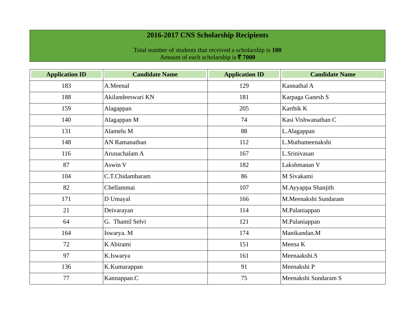## **2016-2017 CNS Scholarship Recipients**

Total number of students that received a scholarship is **100** Amount of each scholarship is ` **7000**

| <b>Application ID</b> | <b>Candidate Name</b> | <b>Application ID</b> | <b>Candidate Name</b> |
|-----------------------|-----------------------|-----------------------|-----------------------|
| 183                   | A.Meenal              | 129                   | Kannathal A           |
| 188                   | Akilandeeswari KN     | 181                   | Karpaga Ganesh S      |
| 159                   | Alagappan             | 205                   | Karthik K             |
| 140                   | Alagappan M           | 74                    | Kasi Vishwanathan C   |
| 131                   | Alamelu M             | 88                    | L.Alagappan           |
| 148                   | AN Ramanathan         | 112                   | L.Muthumeenakshi      |
| 116                   | Arunachalam A         | 167                   | L.Srinivasan          |
| 87                    | Aswin V               | 182                   | Lakshmanan V          |
| 104                   | C.T.Chidambaram       | 86                    | M Sivakami            |
| 82                    | Chellammai            | 107                   | M.Ayyappa Shanjith    |
| 171                   | D Umayal              | 166                   | M.Meenakshi Sundaram  |
| 21                    | Deivarayan            | 114                   | M.Palaniappan         |
| 64                    | G. Thamil Selvi       | 121                   | M.Palaniappan         |
| 164                   | Iswarya. M            | 174                   | Manikandan.M          |
| 72                    | K Abirami             | 151                   | Meena K               |
| 97                    | K.Iswarya             | 161                   | Meenaakshi.S          |
| 136                   | K.Kumarappan          | 91                    | Meenakshi P           |
| 77                    | Kannappan.C           | 75                    | Meenakshi Sundaram S  |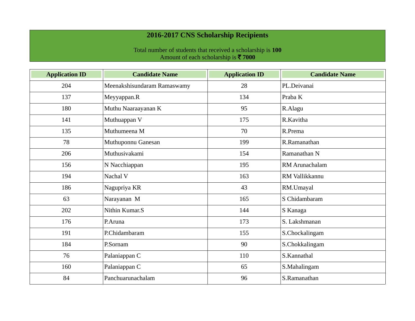## **2016-2017 CNS Scholarship Recipients**

Total number of students that received a scholarship is **100** Amount of each scholarship is ` **7000**

| <b>Application ID</b> | <b>Candidate Name</b>       | <b>Application ID</b> | <b>Candidate Name</b> |
|-----------------------|-----------------------------|-----------------------|-----------------------|
| 204                   | Meenakshisundaram Ramaswamy | 28                    | PL.Deivanai           |
| 137                   | Meyyappan.R                 | 134                   | Praba K               |
| 180                   | Muthu Naaraayanan K         | 95                    | R.Alagu               |
| 141                   | Muthuappan V                | 175                   | R.Kavitha             |
| 135                   | Muthumeena M                | 70                    | R.Prema               |
| 78                    | Muthuponnu Ganesan          | 199                   | R.Ramanathan          |
| 206                   | Muthusivakami               | 154                   | Ramanathan N          |
| 156                   | N Nacchiappan               | 195                   | RM Arunachalam        |
| 194                   | Nachal V                    | 163                   | RM Vallikkannu        |
| 186                   | Nagupriya KR                | 43                    | RM.Umayal             |
| 63                    | Narayanan M                 | 165                   | S Chidambaram         |
| 202                   | Nithin Kumar.S              | 144                   | S Kanaga              |
| 176                   | P.Aruna                     | 173                   | S. Lakshmanan         |
| 191                   | P.Chidambaram               | 155                   | S.Chockalingam        |
| 184                   | P.Sornam                    | 90                    | S.Chokkalingam        |
| 76                    | Palaniappan C               | 110                   | S.Kannathal           |
| 160                   | Palaniappan C               | 65                    | S.Mahalingam          |
| 84                    | Panchuarunachalam           | 96                    | S.Ramanathan          |